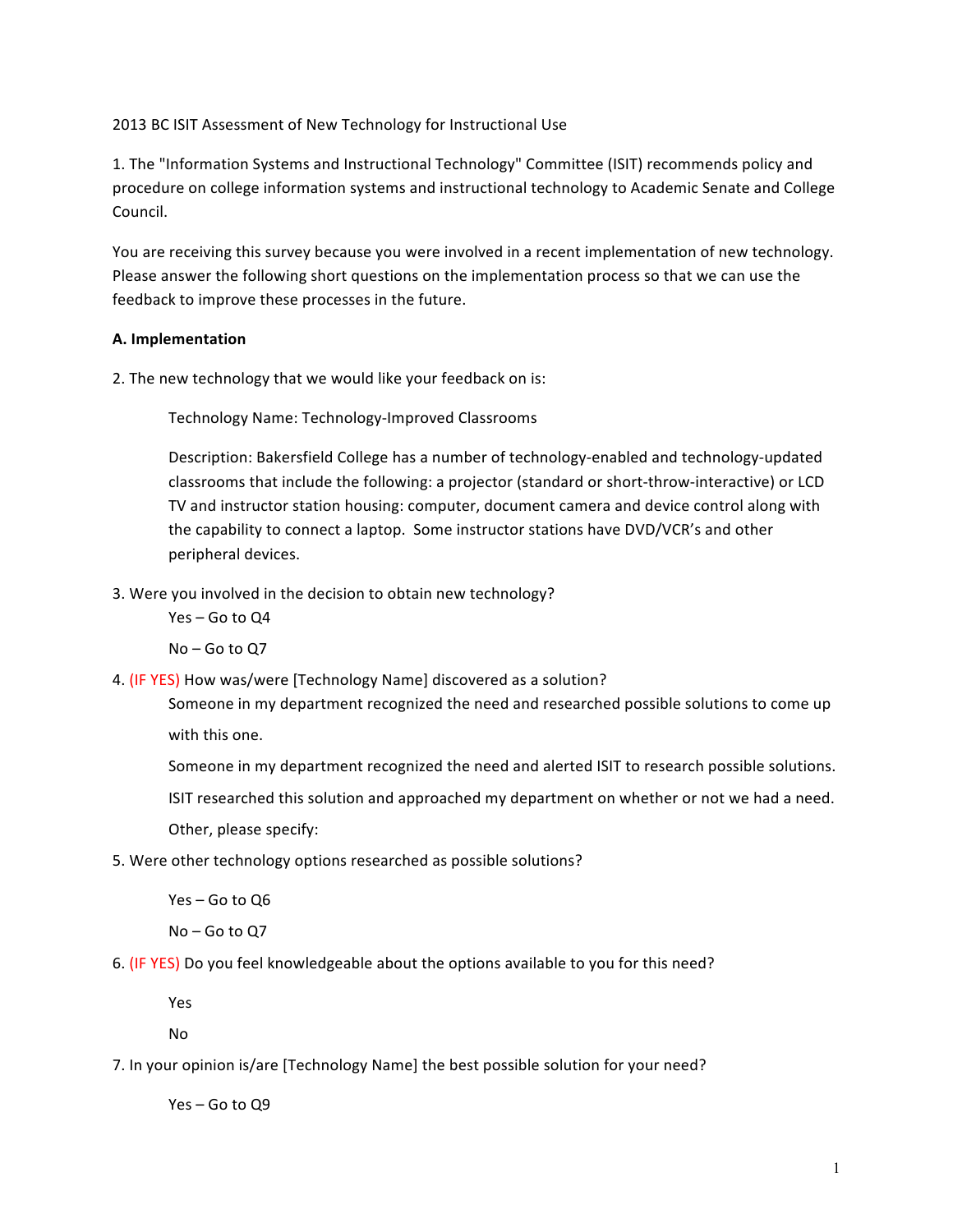2013 BC ISIT Assessment of New Technology for Instructional Use

1. The "Information Systems and Instructional Technology" Committee (ISIT) recommends policy and procedure on college information systems and instructional technology to Academic Senate and College Council. 

You are receiving this survey because you were involved in a recent implementation of new technology. Please answer the following short questions on the implementation process so that we can use the feedback to improve these processes in the future.

## **A. Implementation**

2. The new technology that we would like your feedback on is:

Technology Name: Technology-Improved Classrooms

Description: Bakersfield College has a number of technology-enabled and technology-updated classrooms that include the following: a projector (standard or short-throw-interactive) or LCD TV and instructor station housing: computer, document camera and device control along with the capability to connect a laptop. Some instructor stations have DVD/VCR's and other peripheral devices.

3. Were you involved in the decision to obtain new technology?

Yes – Go to Q4

No – Go to Q7

4. (IF YES) How was/were [Technology Name] discovered as a solution?

Someone in my department recognized the need and researched possible solutions to come up with this one.

Someone in my department recognized the need and alerted ISIT to research possible solutions.

ISIT researched this solution and approached my department on whether or not we had a need.

Other, please specify:

5. Were other technology options researched as possible solutions?

Yes - Go to Q6

No – Go to Q7

6. (IF YES) Do you feel knowledgeable about the options available to you for this need?

Yes

No

7. In your opinion is/are [Technology Name] the best possible solution for your need?

Yes – Go to Q9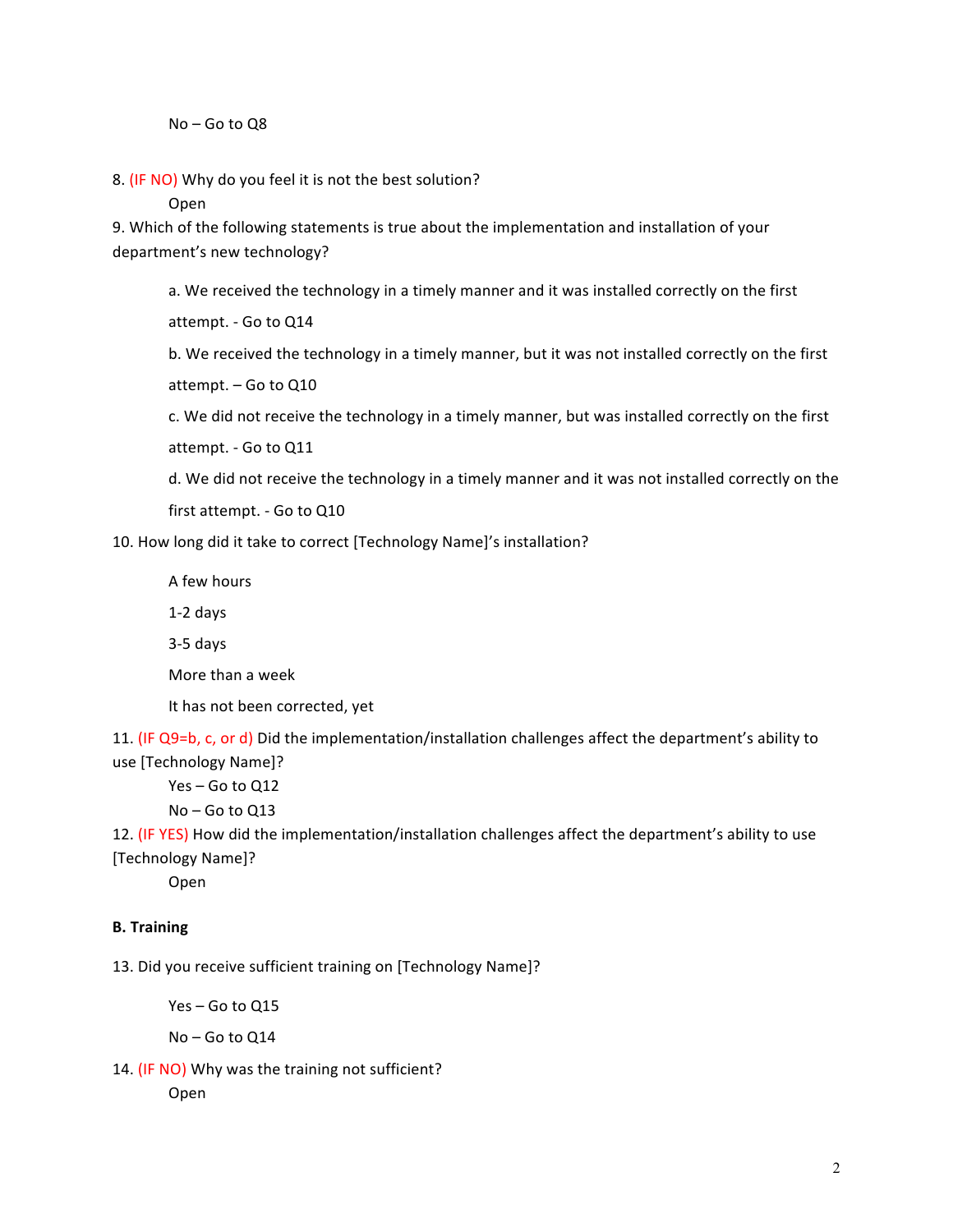## $No - Go$  to  $OS$

8. (IF NO) Why do you feel it is not the best solution?

Open

9. Which of the following statements is true about the implementation and installation of your department's new technology?

a. We received the technology in a timely manner and it was installed correctly on the first

attempt. - Go to Q14

b. We received the technology in a timely manner, but it was not installed correctly on the first

attempt. - Go to Q10

c. We did not receive the technology in a timely manner, but was installed correctly on the first attempt. - Go to Q11

d. We did not receive the technology in a timely manner and it was not installed correctly on the first attempt. - Go to Q10

10. How long did it take to correct [Technology Name]'s installation?

A few hours

1-2 days

3-5 days

More than a week

It has not been corrected, yet

11. (IF Q9=b, c, or d) Did the implementation/installation challenges affect the department's ability to use [Technology Name]?

Yes – Go to Q12

No – Go to Q13

12. (IF YES) How did the implementation/installation challenges affect the department's ability to use [Technology Name]?

Open

## **B. Training**

13. Did you receive sufficient training on [Technology Name]?

 $Yes - Go$  to  $Q15$ 

 $No - Go$  to  $Q14$ 

14. (IF NO) Why was the training not sufficient?

Open